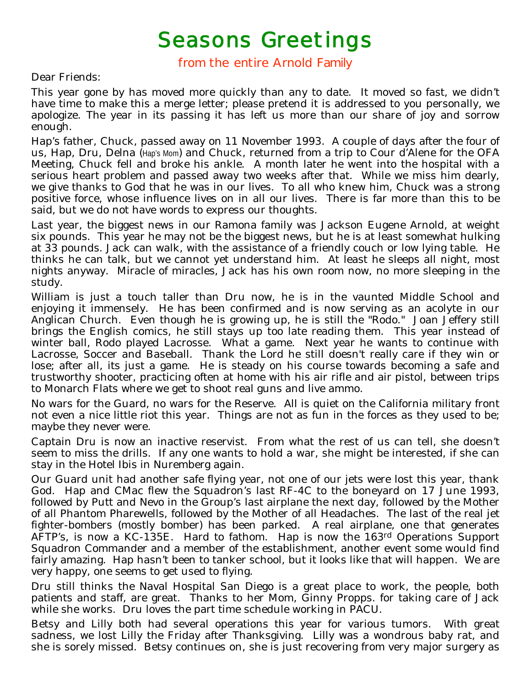## Seasons Greetings

from the entire Arnold Family

Dear Friends:

This year gone by has moved more quickly than any to date. It moved so fast, we didn't have time to make this a merge letter; please pretend it is addressed to you personally, we apologize. The year in its passing it has left us more than our share of joy and sorrow enough.

Hap's father, Chuck, passed away on 11 November 1993. A couple of days after the four of us, Hap, Dru, Delna (Hap's Mom) and Chuck, returned from a trip to Cour d'Alene for the OFA Meeting, Chuck fell and broke his ankle. A month later he went into the hospital with a serious heart problem and passed away two weeks after that. While we miss him dearly, we give thanks to God that he was in our lives. To all who knew him, Chuck was a strong positive force, whose influence lives on in all our lives. There is far more than this to be said, but we do not have words to express our thoughts.

Last year, the biggest news in our Ramona family was Jackson Eugene Arnold, at weight six pounds. This year he may not be the biggest news, but he is at least somewhat hulking at 33 pounds. Jack can walk, with the assistance of a friendly couch or low lying table. He thinks he can talk, but we cannot yet understand him. At least he sleeps all night, most nights anyway. Miracle of miracles, Jack has his own room now, no more sleeping in the study.

William is just a touch taller than Dru now, he is in the vaunted Middle School and enjoying it immensely. He has been confirmed and is now serving as an acolyte in our Anglican Church. Even though he is growing up, he is still the "Rodo." Joan Jeffery still brings the English comics, he still stays up too late reading them. This year instead of winter ball, Rodo played Lacrosse. What a game. Next year he wants to continue with Lacrosse, Soccer and Baseball. Thank the Lord he still doesn't really care if they win or lose; after all, its just a game. He is steady on his course towards becoming a safe and trustworthy shooter, practicing often at home with his air rifle and air pistol, between trips to Monarch Flats where we get to shoot real guns and live ammo.

No wars for the Guard, no wars for the Reserve. All is quiet on the California military front not even a nice little riot this year. Things are not as fun in the forces as they used to be; maybe they never were.

Captain Dru is now an inactive reservist. From what the rest of us can tell, she doesn't seem to miss the drills. If any one wants to hold a war, she might be interested, if she can stay in the Hotel Ibis in Nuremberg again.

Our Guard unit had another safe flying year, not one of our jets were lost this year, thank God. Hap and CMac flew the Squadron's last RF-4C to the boneyard on 17 June 1993, followed by Putt and Nevo in the Group's last airplane the next day, followed by the Mother of all Phantom Pharewells, followed by the Mother of all Headaches. The last of the real jet fighter-bombers (mostly bomber) has been parked. A real airplane, one that generates AFTP's, is now a KC-135E. Hard to fathom. Hap is now the 163rd Operations Support Squadron Commander and a member of the establishment, another event some would find fairly amazing. Hap hasn't been to tanker school, but it looks like that will happen. We are very happy, one seems to get used to flying.

Dru still thinks the Naval Hospital San Diego is a great place to work, the people, both patients and staff, are great. Thanks to her Mom, Ginny Propps. for taking care of Jack while she works. Dru loves the part time schedule working in PACU.

Betsy and Lilly both had several operations this year for various tumors. With great sadness, we lost Lilly the Friday after Thanksgiving. Lilly was a wondrous baby rat, and she is sorely missed. Betsy continues on, she is just recovering from very major surgery as